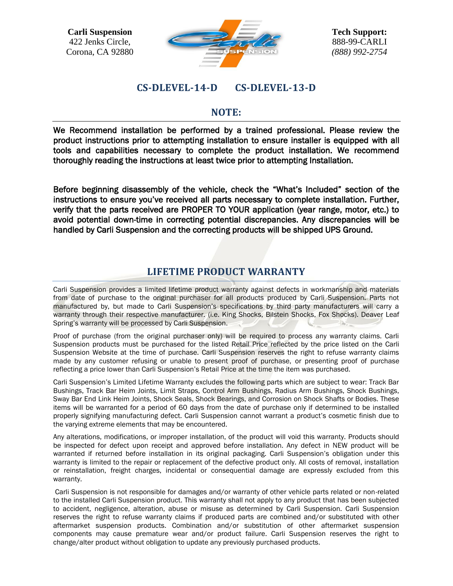

## **CS-DLEVEL-14-D CS-DLEVEL-13-D**

### **NOTE:**

We Recommend installation be performed by a trained professional. Please review the product instructions prior to attempting installation to ensure installer is equipped with all tools and capabilities necessary to complete the product installation. We recommend thoroughly reading the instructions at least twice prior to attempting Installation.

Before beginning disassembly of the vehicle, check the "What's Included" section of the instructions to ensure you've received all parts necessary to complete installation. Further, verify that the parts received are PROPER TO YOUR application (year range, motor, etc.) to avoid potential down-time in correcting potential discrepancies. Any discrepancies will be handled by Carli Suspension and the correcting products will be shipped UPS Ground.

# **LIFETIME PRODUCT WARRANTY**

Carli Suspension provides a limited lifetime product warranty against defects in workmanship and materials from date of purchase to the original purchaser for all products produced by Carli Suspension. Parts not manufactured by, but made to Carli Suspension's specifications by third party manufacturers will carry a warranty through their respective manufacturer. (i.e. King Shocks, Bilstein Shocks, Fox Shocks). Deaver Leaf Spring's warranty will be processed by Carli Suspension.

Proof of purchase (from the original purchaser only) will be required to process any warranty claims. Carli Suspension products must be purchased for the listed Retail Price reflected by the price listed on the Carli Suspension Website at the time of purchase. Carli Suspension reserves the right to refuse warranty claims made by any customer refusing or unable to present proof of purchase, or presenting proof of purchase reflecting a price lower than Carli Suspension's Retail Price at the time the item was purchased.

Carli Suspension's Limited Lifetime Warranty excludes the following parts which are subject to wear: Track Bar Bushings, Track Bar Heim Joints, Limit Straps, Control Arm Bushings, Radius Arm Bushings, Shock Bushings, Sway Bar End Link Heim Joints, Shock Seals, Shock Bearings, and Corrosion on Shock Shafts or Bodies. These items will be warranted for a period of 60 days from the date of purchase only if determined to be installed properly signifying manufacturing defect. Carli Suspension cannot warrant a product's cosmetic finish due to the varying extreme elements that may be encountered.

Any alterations, modifications, or improper installation, of the product will void this warranty. Products should be inspected for defect upon receipt and approved before installation. Any defect in NEW product will be warranted if returned before installation in its original packaging. Carli Suspension's obligation under this warranty is limited to the repair or replacement of the defective product only. All costs of removal, installation or reinstallation, freight charges, incidental or consequential damage are expressly excluded from this warranty.

Carli Suspension is not responsible for damages and/or warranty of other vehicle parts related or non-related to the installed Carli Suspension product. This warranty shall not apply to any product that has been subjected to accident, negligence, alteration, abuse or misuse as determined by Carli Suspension. Carli Suspension reserves the right to refuse warranty claims if produced parts are combined and/or substituted with other aftermarket suspension products. Combination and/or substitution of other aftermarket suspension components may cause premature wear and/or product failure. Carli Suspension reserves the right to change/alter product without obligation to update any previously purchased products.